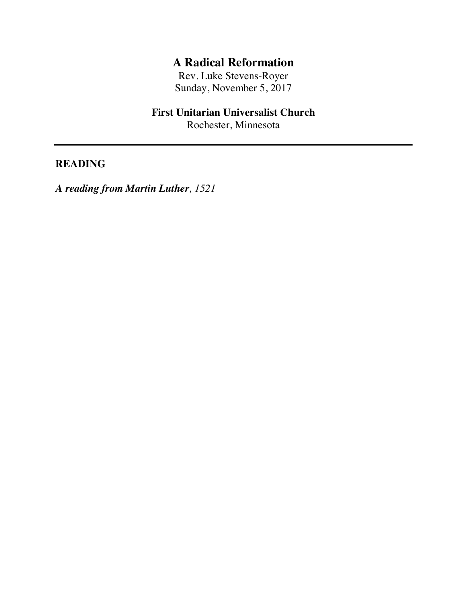# **A Radical Reformation**

Rev. Luke Stevens-Royer Sunday, November 5, 2017

## **First Unitarian Universalist Church**

Rochester, Minnesota

### **READING**

*A reading from Martin Luther, 1521*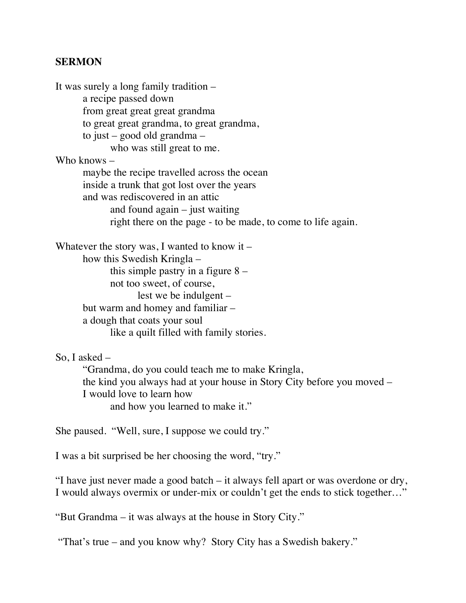#### **SERMON**

It was surely a long family tradition – a recipe passed down from great great great grandma to great great grandma, to great grandma, to just – good old grandma – who was still great to me. Who knows – maybe the recipe travelled across the ocean inside a trunk that got lost over the years and was rediscovered in an attic and found  $again - just waiting$ right there on the page - to be made, to come to life again. Whatever the story was, I wanted to know it  $-$ 

how this Swedish Kringla – this simple pastry in a figure  $8$ not too sweet, of course, lest we be indulgent – but warm and homey and familiar – a dough that coats your soul like a quilt filled with family stories.

So, I asked –

"Grandma, do you could teach me to make Kringla, the kind you always had at your house in Story City before you moved – I would love to learn how and how you learned to make it."

She paused. "Well, sure, I suppose we could try."

I was a bit surprised be her choosing the word, "try."

"I have just never made a good batch – it always fell apart or was overdone or dry, I would always overmix or under-mix or couldn't get the ends to stick together…"

"But Grandma – it was always at the house in Story City."

"That's true – and you know why? Story City has a Swedish bakery."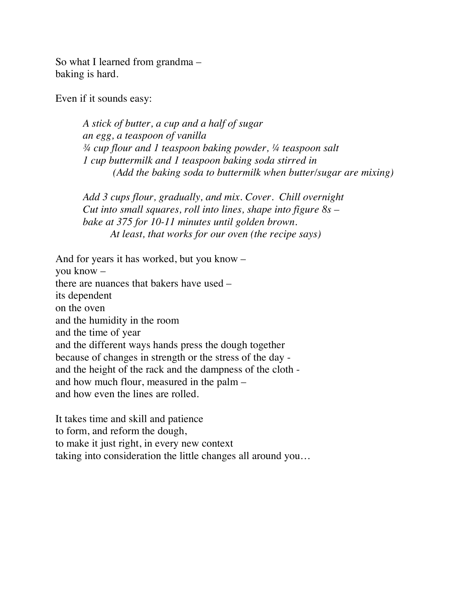So what I learned from grandma – baking is hard.

Even if it sounds easy:

*A stick of butter, a cup and a half of sugar an egg, a teaspoon of vanilla ¾ cup flour and 1 teaspoon baking powder, ¼ teaspoon salt 1 cup buttermilk and 1 teaspoon baking soda stirred in (Add the baking soda to buttermilk when butter/sugar are mixing)*

*Add 3 cups flour, gradually, and mix. Cover. Chill overnight Cut into small squares, roll into lines, shape into figure 8s – bake at 375 for 10-11 minutes until golden brown. At least, that works for our oven (the recipe says)*

And for years it has worked, but you know – you know – there are nuances that bakers have used – its dependent on the oven and the humidity in the room and the time of year and the different ways hands press the dough together because of changes in strength or the stress of the day and the height of the rack and the dampness of the cloth and how much flour, measured in the palm – and how even the lines are rolled.

It takes time and skill and patience to form, and reform the dough, to make it just right, in every new context taking into consideration the little changes all around you…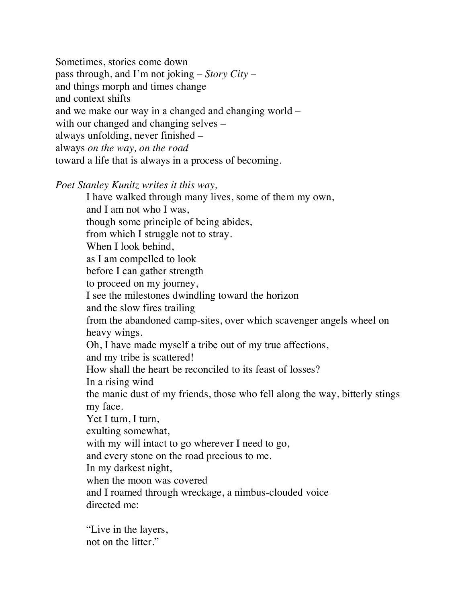Sometimes, stories come down pass through, and I'm not joking – *Story City* – and things morph and times change and context shifts and we make our way in a changed and changing world – with our changed and changing selves – always unfolding, never finished – always *on the way, on the road* toward a life that is always in a process of becoming.

*Poet Stanley Kunitz writes it this way,* 

I have walked through many lives, some of them my own, and I am not who I was, though some principle of being abides, from which I struggle not to stray. When I look behind, as I am compelled to look before I can gather strength to proceed on my journey, I see the milestones dwindling toward the horizon and the slow fires trailing from the abandoned camp-sites, over which scavenger angels wheel on heavy wings. Oh, I have made myself a tribe out of my true affections, and my tribe is scattered! How shall the heart be reconciled to its feast of losses? In a rising wind the manic dust of my friends, those who fell along the way, bitterly stings my face. Yet I turn, I turn, exulting somewhat, with my will intact to go wherever I need to go, and every stone on the road precious to me. In my darkest night, when the moon was covered and I roamed through wreckage, a nimbus-clouded voice directed me:

"Live in the layers, not on the litter."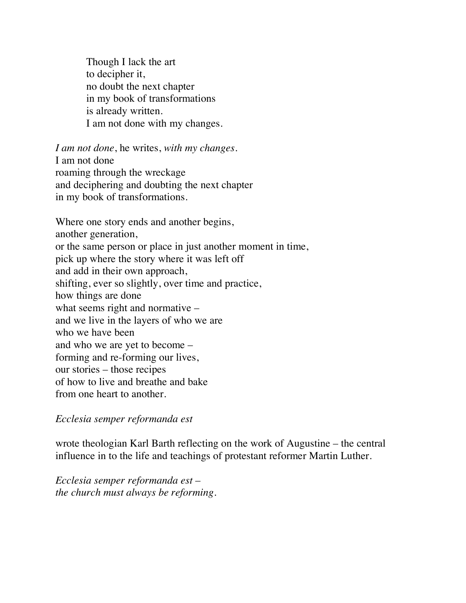Though I lack the art to decipher it, no doubt the next chapter in my book of transformations is already written. I am not done with my changes.

*I am not done*, he writes, *with my changes.* I am not done roaming through the wreckage and deciphering and doubting the next chapter in my book of transformations.

Where one story ends and another begins, another generation, or the same person or place in just another moment in time, pick up where the story where it was left off and add in their own approach, shifting, ever so slightly, over time and practice, how things are done what seems right and normative – and we live in the layers of who we are who we have been and who we are yet to become – forming and re-forming our lives, our stories – those recipes of how to live and breathe and bake from one heart to another.

*Ecclesia semper reformanda est*

wrote theologian Karl Barth reflecting on the work of Augustine – the central influence in to the life and teachings of protestant reformer Martin Luther.

*Ecclesia semper reformanda est – the church must always be reforming.*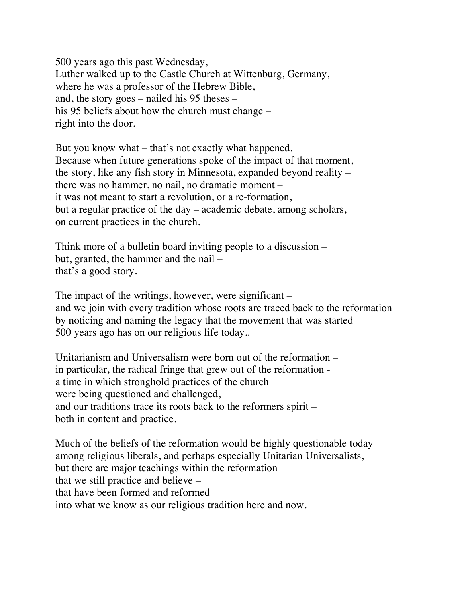500 years ago this past Wednesday, Luther walked up to the Castle Church at Wittenburg, Germany, where he was a professor of the Hebrew Bible, and, the story goes – nailed his 95 theses – his 95 beliefs about how the church must change – right into the door.

But you know what – that's not exactly what happened. Because when future generations spoke of the impact of that moment, the story, like any fish story in Minnesota, expanded beyond reality – there was no hammer, no nail, no dramatic moment – it was not meant to start a revolution, or a re-formation, but a regular practice of the day – academic debate, among scholars, on current practices in the church.

Think more of a bulletin board inviting people to a discussion – but, granted, the hammer and the nail – that's a good story.

The impact of the writings, however, were significant – and we join with every tradition whose roots are traced back to the reformation by noticing and naming the legacy that the movement that was started 500 years ago has on our religious life today..

Unitarianism and Universalism were born out of the reformation – in particular, the radical fringe that grew out of the reformation a time in which stronghold practices of the church were being questioned and challenged, and our traditions trace its roots back to the reformers spirit – both in content and practice.

Much of the beliefs of the reformation would be highly questionable today among religious liberals, and perhaps especially Unitarian Universalists, but there are major teachings within the reformation that we still practice and believe – that have been formed and reformed into what we know as our religious tradition here and now.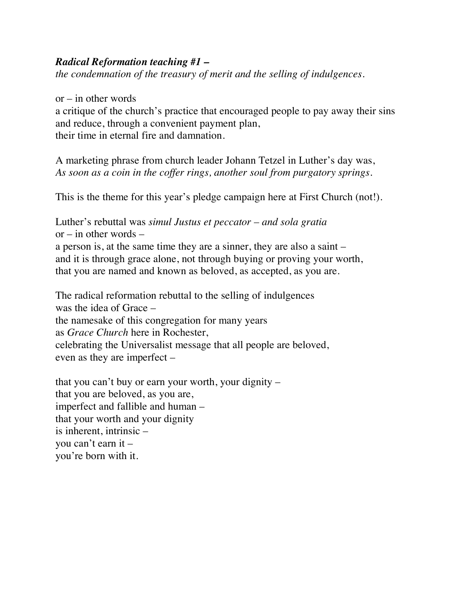#### *Radical Reformation teaching #1 –*

*the condemnation of the treasury of merit and the selling of indulgences.*

 $or - in other words$ 

a critique of the church's practice that encouraged people to pay away their sins and reduce, through a convenient payment plan, their time in eternal fire and damnation.

A marketing phrase from church leader Johann Tetzel in Luther's day was, *As soon as a coin in the coffer rings, another soul from purgatory springs.*

This is the theme for this year's pledge campaign here at First Church (not!).

Luther's rebuttal was *simul Justus et peccator – and sola gratia*  $or$  – in other words – a person is, at the same time they are a sinner, they are also a saint – and it is through grace alone, not through buying or proving your worth, that you are named and known as beloved, as accepted, as you are.

The radical reformation rebuttal to the selling of indulgences was the idea of Grace – the namesake of this congregation for many years as *Grace Church* here in Rochester, celebrating the Universalist message that all people are beloved, even as they are imperfect –

that you can't buy or earn your worth, your dignity – that you are beloved, as you are, imperfect and fallible and human – that your worth and your dignity is inherent, intrinsic – you can't earn it – you're born with it.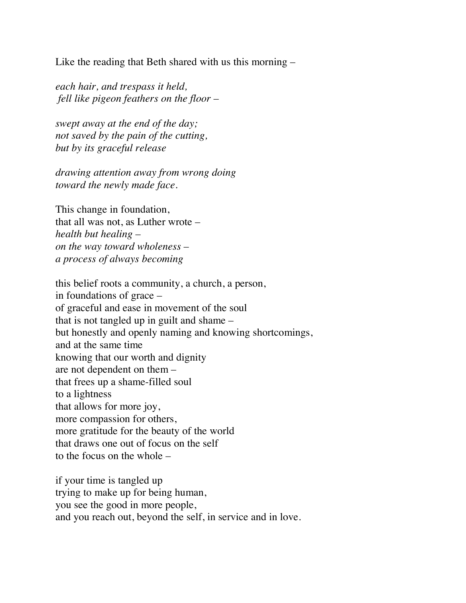Like the reading that Beth shared with us this morning –

*each hair, and trespass it held, fell like pigeon feathers on the floor –*

*swept away at the end of the day; not saved by the pain of the cutting, but by its graceful release* 

*drawing attention away from wrong doing toward the newly made face.*

This change in foundation, that all was not, as Luther wrote – *health but healing – on the way toward wholeness – a process of always becoming*

this belief roots a community, a church, a person, in foundations of grace – of graceful and ease in movement of the soul that is not tangled up in guilt and shame – but honestly and openly naming and knowing shortcomings, and at the same time knowing that our worth and dignity are not dependent on them – that frees up a shame-filled soul to a lightness that allows for more joy, more compassion for others, more gratitude for the beauty of the world that draws one out of focus on the self to the focus on the whole –

if your time is tangled up trying to make up for being human, you see the good in more people, and you reach out, beyond the self, in service and in love.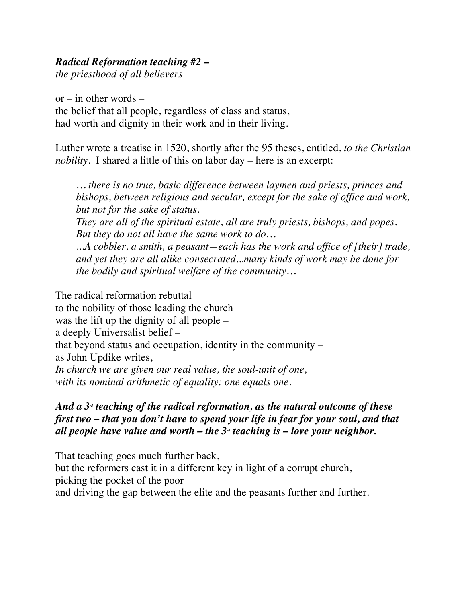## *Radical Reformation teaching #2 –*

*the priesthood of all believers*

 $or - in other words$ the belief that all people, regardless of class and status, had worth and dignity in their work and in their living.

Luther wrote a treatise in 1520, shortly after the 95 theses, entitled, *to the Christian nobility.* I shared a little of this on labor day – here is an excerpt:

*… there is no true, basic difference between laymen and priests, princes and bishops, between religious and secular, except for the sake of office and work, but not for the sake of status. They are all of the spiritual estate, all are truly priests, bishops, and popes. But they do not all have the same work to do… ...A cobbler, a smith, a peasant—each has the work and office of [their] trade, and yet they are all alike consecrated...many kinds of work may be done for the bodily and spiritual welfare of the community…*

The radical reformation rebuttal to the nobility of those leading the church was the lift up the dignity of all people – a deeply Universalist belief – that beyond status and occupation, identity in the community – as John Updike writes, *In church we are given our real value, the soul-unit of one, with its nominal arithmetic of equality: one equals one.* 

### *And a 3<sup>* $d$ *</sup> teaching of the radical reformation, as the natural outcome of these first two – that you don't have to spend your life in fear for your soul, and that all people have value and worth – the 3<sup>* $d$ *</sup> teaching is – love your neighbor.*

That teaching goes much further back, but the reformers cast it in a different key in light of a corrupt church, picking the pocket of the poor and driving the gap between the elite and the peasants further and further.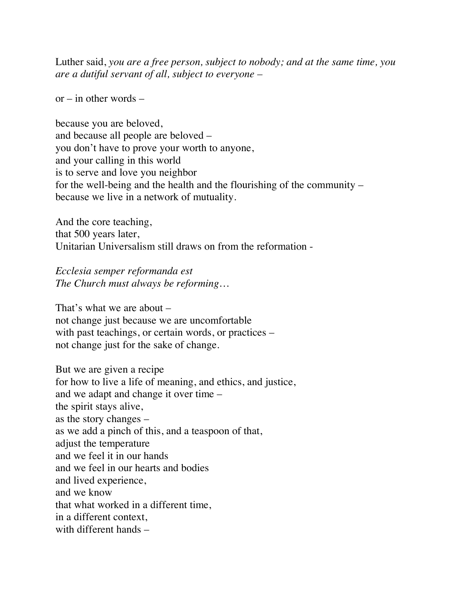Luther said, *you are a free person, subject to nobody; and at the same time, you are a dutiful servant of all, subject to everyone –*

 $or - in other words -$ 

because you are beloved, and because all people are beloved – you don't have to prove your worth to anyone, and your calling in this world is to serve and love you neighbor for the well-being and the health and the flourishing of the community – because we live in a network of mutuality.

And the core teaching, that 500 years later, Unitarian Universalism still draws on from the reformation -

*Ecclesia semper reformanda est The Church must always be reforming…*

That's what we are about – not change just because we are uncomfortable with past teachings, or certain words, or practices – not change just for the sake of change.

But we are given a recipe

for how to live a life of meaning, and ethics, and justice, and we adapt and change it over time – the spirit stays alive, as the story changes – as we add a pinch of this, and a teaspoon of that, adjust the temperature and we feel it in our hands and we feel in our hearts and bodies and lived experience, and we know that what worked in a different time, in a different context, with different hands –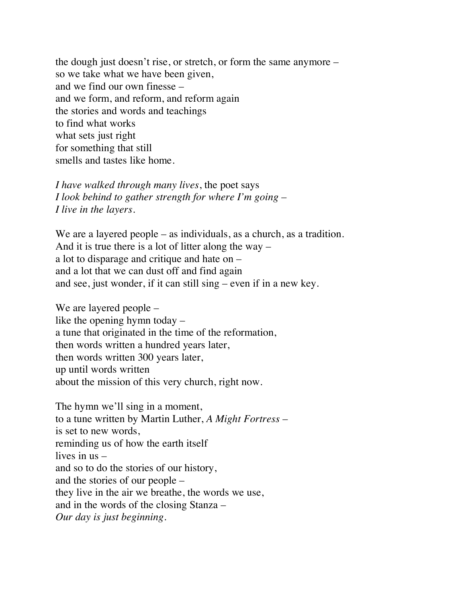the dough just doesn't rise, or stretch, or form the same anymore – so we take what we have been given, and we find our own finesse – and we form, and reform, and reform again the stories and words and teachings to find what works what sets just right for something that still smells and tastes like home.

*I have walked through many lives*, the poet says *I look behind to gather strength for where I'm going – I live in the layers.*

We are a layered people – as individuals, as a church, as a tradition. And it is true there is a lot of litter along the way – a lot to disparage and critique and hate on – and a lot that we can dust off and find again and see, just wonder, if it can still sing – even if in a new key.

We are layered people – like the opening hymn today – a tune that originated in the time of the reformation, then words written a hundred years later, then words written 300 years later, up until words written about the mission of this very church, right now.

The hymn we'll sing in a moment, to a tune written by Martin Luther, *A Might Fortress* – is set to new words, reminding us of how the earth itself lives in us – and so to do the stories of our history, and the stories of our people – they live in the air we breathe, the words we use, and in the words of the closing Stanza – *Our day is just beginning.*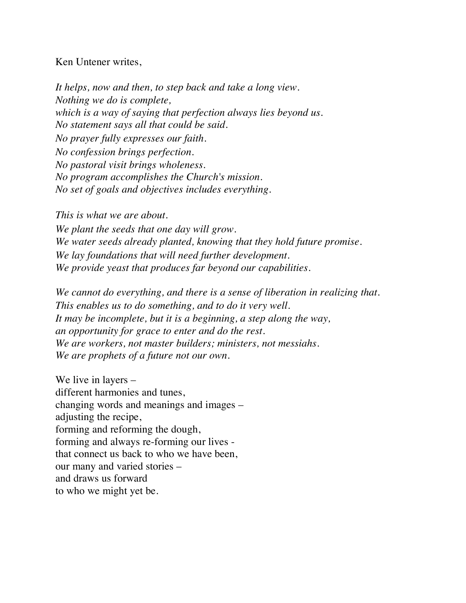#### Ken Untener writes,

*It helps, now and then, to step back and take a long view. Nothing we do is complete, which is a way of saying that perfection always lies beyond us. No statement says all that could be said. No prayer fully expresses our faith. No confession brings perfection. No pastoral visit brings wholeness. No program accomplishes the Church's mission. No set of goals and objectives includes everything.* 

*This is what we are about. We plant the seeds that one day will grow. We water seeds already planted, knowing that they hold future promise. We lay foundations that will need further development. We provide yeast that produces far beyond our capabilities.* 

*We cannot do everything, and there is a sense of liberation in realizing that. This enables us to do something, and to do it very well. It may be incomplete, but it is a beginning, a step along the way, an opportunity for grace to enter and do the rest. We are workers, not master builders; ministers, not messiahs. We are prophets of a future not our own.* 

We live in layers – different harmonies and tunes, changing words and meanings and images – adjusting the recipe, forming and reforming the dough, forming and always re-forming our lives that connect us back to who we have been, our many and varied stories – and draws us forward to who we might yet be.